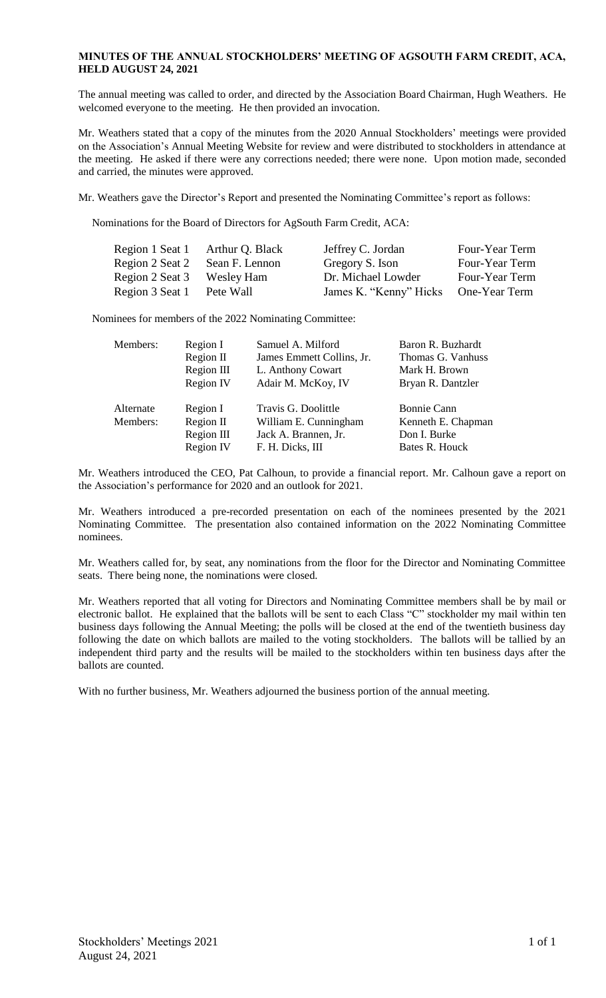## **MINUTES OF THE ANNUAL STOCKHOLDERS' MEETING OF AGSOUTH FARM CREDIT, ACA, HELD AUGUST 24, 2021**

The annual meeting was called to order, and directed by the Association Board Chairman, Hugh Weathers. He welcomed everyone to the meeting. He then provided an invocation.

Mr. Weathers stated that a copy of the minutes from the 2020 Annual Stockholders' meetings were provided on the Association's Annual Meeting Website for review and were distributed to stockholders in attendance at the meeting. He asked if there were any corrections needed; there were none. Upon motion made, seconded and carried, the minutes were approved.

Mr. Weathers gave the Director's Report and presented the Nominating Committee's report as follows:

Nominations for the Board of Directors for AgSouth Farm Credit, ACA:

| Arthur Q. Black | Jeffrey C. Jordan      | Four-Year Term |
|-----------------|------------------------|----------------|
| Sean F. Lennon  | Gregory S. Ison        | Four-Year Term |
| Wesley Ham      | Dr. Michael Lowder     | Four-Year Term |
| Pete Wall       | James K. "Kenny" Hicks | One-Year Term  |
|                 |                        |                |

Nominees for members of the 2022 Nominating Committee:

| Members:              | Region I                                         | Samuel A. Milford                                                                        | Baron R. Buzhardt                                                          |
|-----------------------|--------------------------------------------------|------------------------------------------------------------------------------------------|----------------------------------------------------------------------------|
|                       | Region II                                        | James Emmett Collins, Jr.                                                                | Thomas G. Vanhuss                                                          |
|                       | Region III                                       | L. Anthony Cowart                                                                        | Mark H. Brown                                                              |
|                       | Region IV                                        | Adair M. McKoy, IV                                                                       | Bryan R. Dantzler                                                          |
| Alternate<br>Members: | Region I<br>Region II<br>Region III<br>Region IV | Travis G. Doolittle<br>William E. Cunningham<br>Jack A. Brannen, Jr.<br>F. H. Dicks, III | <b>Bonnie Cann</b><br>Kenneth E. Chapman<br>Don I. Burke<br>Bates R. Houck |

Mr. Weathers introduced the CEO, Pat Calhoun, to provide a financial report. Mr. Calhoun gave a report on the Association's performance for 2020 and an outlook for 2021.

Mr. Weathers introduced a pre-recorded presentation on each of the nominees presented by the 2021 Nominating Committee. The presentation also contained information on the 2022 Nominating Committee nominees.

Mr. Weathers called for, by seat, any nominations from the floor for the Director and Nominating Committee seats. There being none, the nominations were closed.

Mr. Weathers reported that all voting for Directors and Nominating Committee members shall be by mail or electronic ballot. He explained that the ballots will be sent to each Class "C" stockholder my mail within ten business days following the Annual Meeting; the polls will be closed at the end of the twentieth business day following the date on which ballots are mailed to the voting stockholders. The ballots will be tallied by an independent third party and the results will be mailed to the stockholders within ten business days after the ballots are counted.

With no further business, Mr. Weathers adjourned the business portion of the annual meeting.